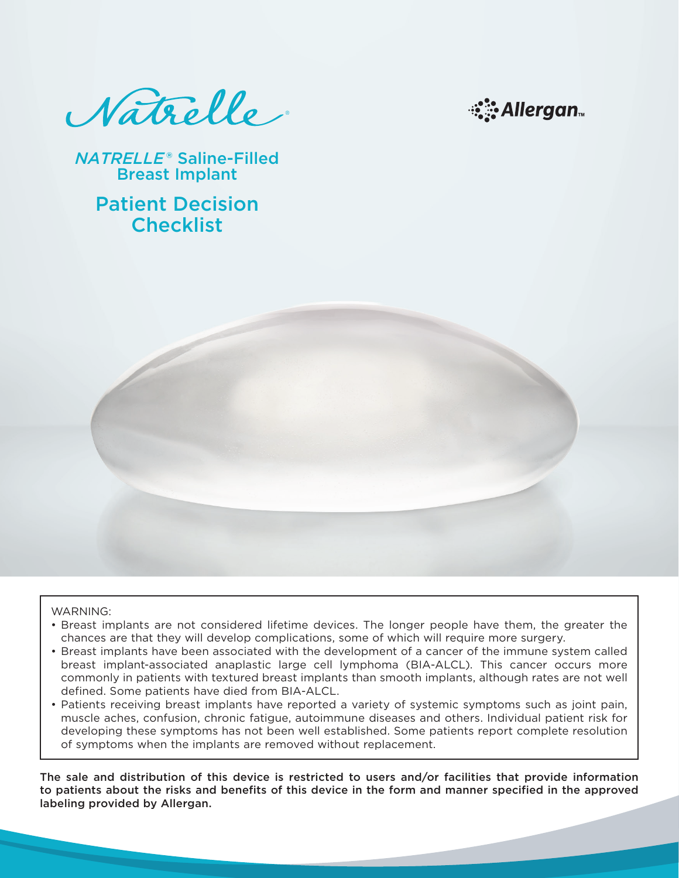Natrelle



*NATRELLE*® Saline-Filled Breast Implant

> Patient Decision **Checklist**



- Breast implants are not considered lifetime devices. The longer people have them, the greater the chances are that they will develop complications, some of which will require more surgery.
- Breast implants have been associated with the development of a cancer of the immune system called breast implant-associated anaplastic large cell lymphoma (BIA-ALCL). This cancer occurs more commonly in patients with textured breast implants than smooth implants, although rates are not well defined. Some patients have died from BIA-ALCL.
- Patients receiving breast implants have reported a variety of systemic symptoms such as joint pain, muscle aches, confusion, chronic fatigue, autoimmune diseases and others. Individual patient risk for developing these symptoms has not been well established. Some patients report complete resolution of symptoms when the implants are removed without replacement.

The sale and distribution of this device is restricted to users and/or facilities that provide information to patients about the risks and benefits of this device in the form and manner specified in the approved labeling provided by Allergan.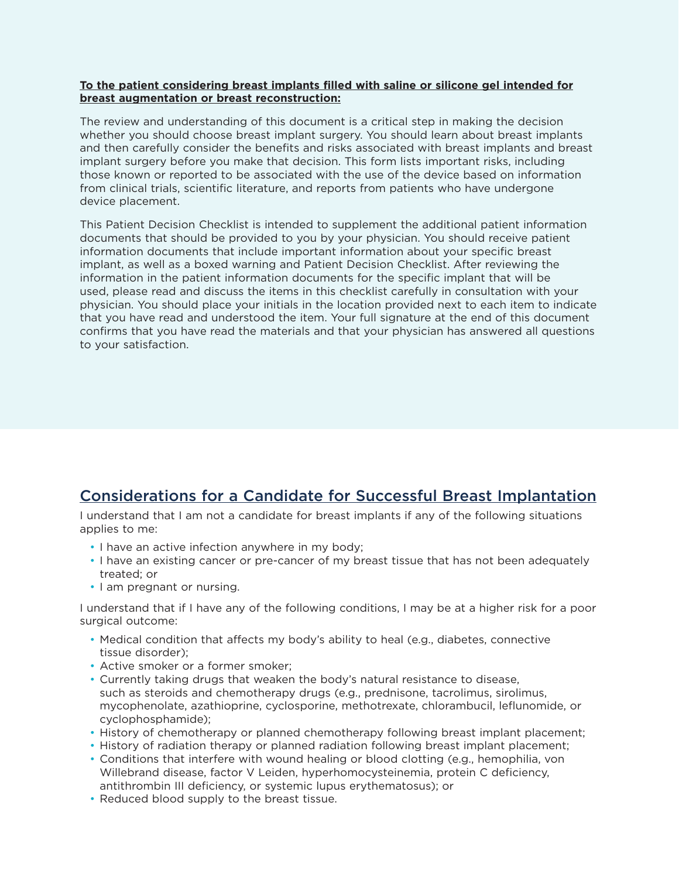### **To the patient considering breast implants filled with saline or silicone gel intended for breast augmentation or breast reconstruction:**

The review and understanding of this document is a critical step in making the decision whether you should choose breast implant surgery. You should learn about breast implants and then carefully consider the benefits and risks associated with breast implants and breast implant surgery before you make that decision. This form lists important risks, including those known or reported to be associated with the use of the device based on information from clinical trials, scientific literature, and reports from patients who have undergone device placement.

This Patient Decision Checklist is intended to supplement the additional patient information documents that should be provided to you by your physician. You should receive patient information documents that include important information about your specific breast implant, as well as a boxed warning and Patient Decision Checklist. After reviewing the information in the patient information documents for the specific implant that will be used, please read and discuss the items in this checklist carefully in consultation with your physician. You should place your initials in the location provided next to each item to indicate that you have read and understood the item. Your full signature at the end of this document confirms that you have read the materials and that your physician has answered all questions to your satisfaction.

# Considerations for a Candidate for Successful Breast Implantation

I understand that I am not a candidate for breast implants if any of the following situations applies to me:

- I have an active infection anywhere in my body;
- I have an existing cancer or pre-cancer of my breast tissue that has not been adequately treated; or
- I am pregnant or nursing.

I understand that if I have any of the following conditions, I may be at a higher risk for a poor surgical outcome:

- Medical condition that affects my body's ability to heal (e.g., diabetes, connective tissue disorder);
- Active smoker or a former smoker;
- Currently taking drugs that weaken the body's natural resistance to disease, such as steroids and chemotherapy drugs (e.g., prednisone, tacrolimus, sirolimus, mycophenolate, azathioprine, cyclosporine, methotrexate, chlorambucil, leflunomide, or cyclophosphamide);
- History of chemotherapy or planned chemotherapy following breast implant placement;
- History of radiation therapy or planned radiation following breast implant placement;
- Conditions that interfere with wound healing or blood clotting (e.g., hemophilia, von Willebrand disease, factor V Leiden, hyperhomocysteinemia, protein C deficiency, antithrombin III deficiency, or systemic lupus erythematosus); or
- Reduced blood supply to the breast tissue.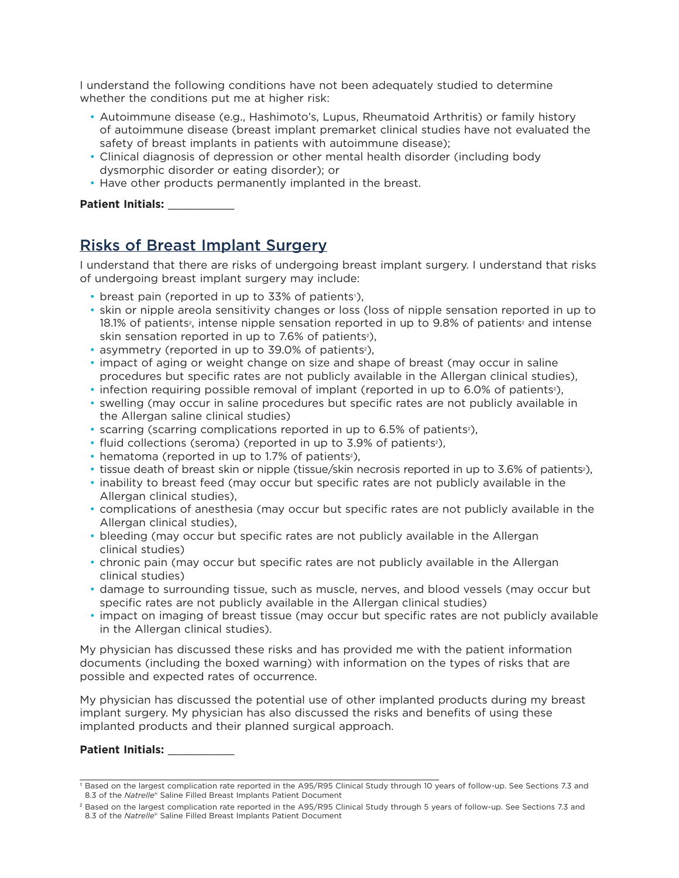I understand the following conditions have not been adequately studied to determine whether the conditions put me at higher risk:

- Autoimmune disease (e.g., Hashimoto's, Lupus, Rheumatoid Arthritis) or family history of autoimmune disease (breast implant premarket clinical studies have not evaluated the safety of breast implants in patients with autoimmune disease);
- Clinical diagnosis of depression or other mental health disorder (including body dysmorphic disorder or eating disorder); or
- Have other products permanently implanted in the breast.

### **Patient Initials:** \_\_\_\_\_\_\_\_\_\_

# Risks of Breast Implant Surgery

I understand that there are risks of undergoing breast implant surgery. I understand that risks of undergoing breast implant surgery may include:

- breast pain (reported in up to 33% of patients<sup>1</sup>),
- skin or nipple areola sensitivity changes or loss (loss of nipple sensation reported in up to 18.1% of patients<sup>2</sup>, intense nipple sensation reported in up to 9.8% of patients<sup>2</sup> and intense skin sensation reported in up to 7.6% of patients<sup>2</sup>),
- asymmetry (reported in up to 39.0% of patients<sup>2</sup>),
- impact of aging or weight change on size and shape of breast (may occur in saline procedures but specific rates are not publicly available in the Allergan clinical studies),
- infection requiring possible removal of implant (reported in up to 6.0% of patients<sup>2</sup>),
- swelling (may occur in saline procedures but specific rates are not publicly available in the Allergan saline clinical studies)
- scarring (scarring complications reported in up to 6.5% of patients<sup>2</sup>),
- fluid collections (seroma) (reported in up to 3.9% of patients<sup>2</sup>),
- hematoma (reported in up to 1.7% of patients<sup>2</sup>),
- tissue death of breast skin or nipple (tissue/skin necrosis reported in up to 3.6% of patients<sup>2</sup>),
- inability to breast feed (may occur but specific rates are not publicly available in the Allergan clinical studies),
- complications of anesthesia (may occur but specific rates are not publicly available in the Allergan clinical studies),
- bleeding (may occur but specific rates are not publicly available in the Allergan clinical studies)
- chronic pain (may occur but specific rates are not publicly available in the Allergan clinical studies)
- damage to surrounding tissue, such as muscle, nerves, and blood vessels (may occur but specific rates are not publicly available in the Allergan clinical studies)
- impact on imaging of breast tissue (may occur but specific rates are not publicly available in the Allergan clinical studies).

My physician has discussed these risks and has provided me with the patient information documents (including the boxed warning) with information on the types of risks that are possible and expected rates of occurrence.

My physician has discussed the potential use of other implanted products during my breast implant surgery. My physician has also discussed the risks and benefits of using these implanted products and their planned surgical approach.

### Patient Initials:

<sup>1</sup> Based on the largest complication rate reported in the A95/R95 Clinical Study through 10 years of follow-up. See Sections 7.3 and 8.3 of the *Natrelle*® Saline Filled Breast Implants Patient Document

<sup>&</sup>lt;sup>2</sup> Based on the largest complication rate reported in the A95/R95 Clinical Study through 5 years of follow-up. See Sections 7.3 and 8.3 of the *Natrelle*® Saline Filled Breast Implants Patient Document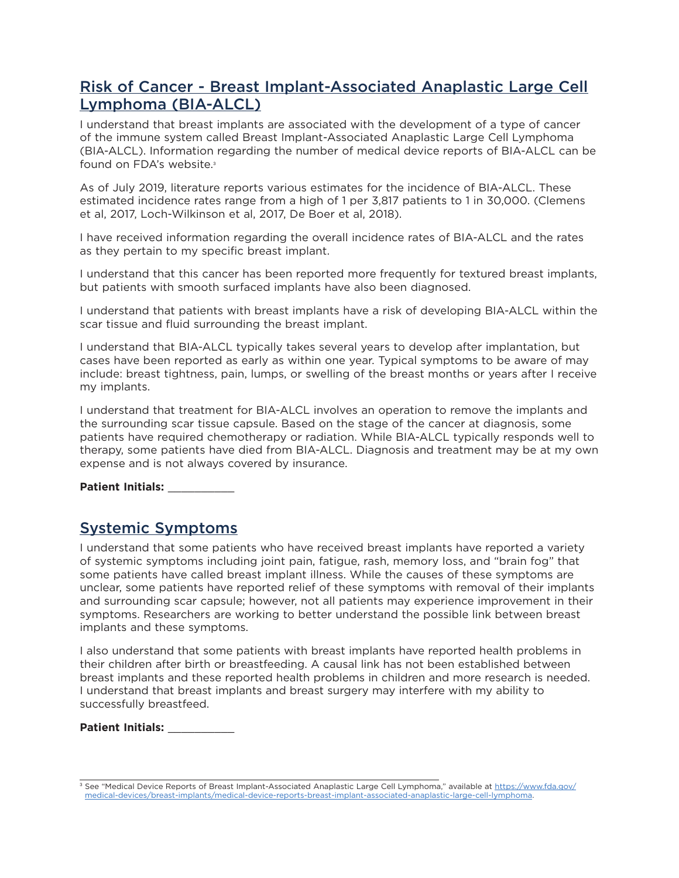# Risk of Cancer - Breast Implant-Associated Anaplastic Large Cell Lymphoma (BIA-ALCL)

I understand that breast implants are associated with the development of a type of cancer of the immune system called Breast Implant-Associated Anaplastic Large Cell Lymphoma (BIA-ALCL). Information regarding the number of medical device reports of BIA-ALCL can be found on FDA's website.<sup>3</sup>

As of July 2019, literature reports various estimates for the incidence of BIA-ALCL. These estimated incidence rates range from a high of 1 per 3,817 patients to 1 in 30,000. (Clemens et al, 2017, Loch-Wilkinson et al, 2017, De Boer et al, 2018).

I have received information regarding the overall incidence rates of BIA-ALCL and the rates as they pertain to my specific breast implant.

I understand that this cancer has been reported more frequently for textured breast implants, but patients with smooth surfaced implants have also been diagnosed.

I understand that patients with breast implants have a risk of developing BIA-ALCL within the scar tissue and fluid surrounding the breast implant.

I understand that BIA-ALCL typically takes several years to develop after implantation, but cases have been reported as early as within one year. Typical symptoms to be aware of may include: breast tightness, pain, lumps, or swelling of the breast months or years after I receive my implants.

I understand that treatment for BIA-ALCL involves an operation to remove the implants and the surrounding scar tissue capsule. Based on the stage of the cancer at diagnosis, some patients have required chemotherapy or radiation. While BIA-ALCL typically responds well to therapy, some patients have died from BIA-ALCL. Diagnosis and treatment may be at my own expense and is not always covered by insurance.

**Patient Initials:** \_\_\_\_\_\_\_\_\_\_

## Systemic Symptoms

I understand that some patients who have received breast implants have reported a variety of systemic symptoms including joint pain, fatigue, rash, memory loss, and "brain fog" that some patients have called breast implant illness. While the causes of these symptoms are unclear, some patients have reported relief of these symptoms with removal of their implants and surrounding scar capsule; however, not all patients may experience improvement in their symptoms. Researchers are working to better understand the possible link between breast implants and these symptoms.

I also understand that some patients with breast implants have reported health problems in their children after birth or breastfeeding. A causal link has not been established between breast implants and these reported health problems in children and more research is needed. I understand that breast implants and breast surgery may interfere with my ability to successfully breastfeed.

**Patient Initials:** \_\_\_\_\_\_\_\_\_\_

<sup>&</sup>lt;sup>3</sup> See "Medical Device Reports of Breast Implant-Associated Anaplastic Large Cell Lymphoma," available at [https://www.fda.gov/](https://www.fda.gov/medical-devices/breast-implants/medical-device-reports-breast-implant-associated-anaplastic-large-cell-lymphoma) [medical-devices/breast-implants/medical-device-reports-breast-implant-associated-anaplastic-large-cell-lymphoma](https://www.fda.gov/medical-devices/breast-implants/medical-device-reports-breast-implant-associated-anaplastic-large-cell-lymphoma).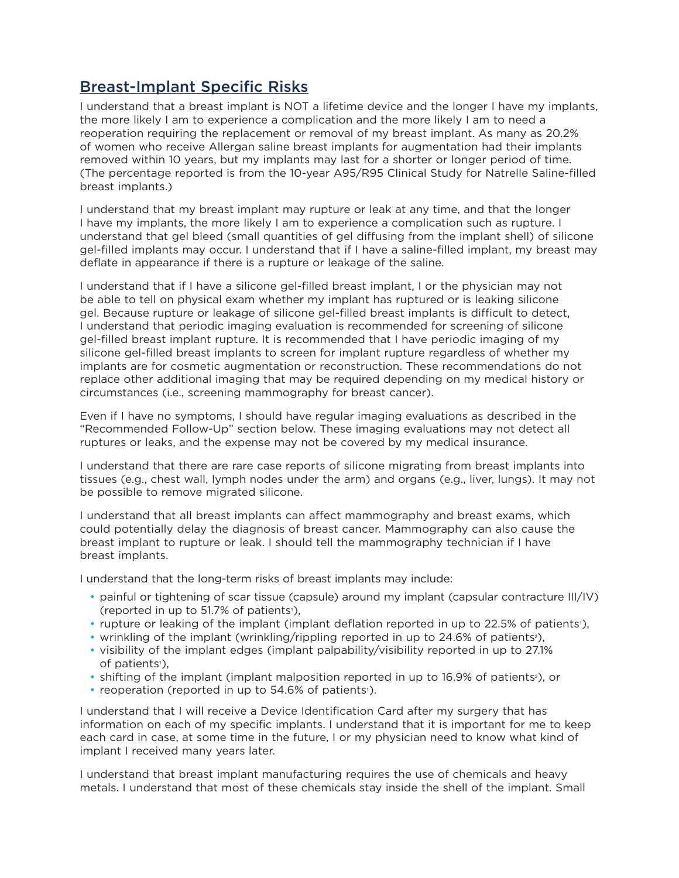# Breast-Implant Specific Risks

I understand that a breast implant is NOT a lifetime device and the longer I have my implants, the more likely I am to experience a complication and the more likely I am to need a reoperation requiring the replacement or removal of my breast implant. As many as 20.2% of women who receive Allergan saline breast implants for augmentation had their implants removed within 10 years, but my implants may last for a shorter or longer period of time. (The percentage reported is from the 10-year A95/R95 Clinical Study for Natrelle Saline-filled breast implants.)

I understand that my breast implant may rupture or leak at any time, and that the longer I have my implants, the more likely I am to experience a complication such as rupture. I understand that gel bleed (small quantities of gel diffusing from the implant shell) of silicone gel-filled implants may occur. I understand that if I have a saline-filled implant, my breast may deflate in appearance if there is a rupture or leakage of the saline.

I understand that if I have a silicone gel-filled breast implant, I or the physician may not be able to tell on physical exam whether my implant has ruptured or is leaking silicone gel. Because rupture or leakage of silicone gel-filled breast implants is difficult to detect, I understand that periodic imaging evaluation is recommended for screening of silicone gel-filled breast implant rupture. It is recommended that I have periodic imaging of my silicone gel-filled breast implants to screen for implant rupture regardless of whether my implants are for cosmetic augmentation or reconstruction. These recommendations do not replace other additional imaging that may be required depending on my medical history or circumstances (i.e., screening mammography for breast cancer).

Even if I have no symptoms, I should have regular imaging evaluations as described in the "Recommended Follow-Up" section below. These imaging evaluations may not detect all ruptures or leaks, and the expense may not be covered by my medical insurance.

I understand that there are rare case reports of silicone migrating from breast implants into tissues (e.g., chest wall, lymph nodes under the arm) and organs (e.g., liver, lungs). It may not be possible to remove migrated silicone.

I understand that all breast implants can affect mammography and breast exams, which could potentially delay the diagnosis of breast cancer. Mammography can also cause the breast implant to rupture or leak. I should tell the mammography technician if I have breast implants.

I understand that the long-term risks of breast implants may include:

- painful or tightening of scar tissue (capsule) around my implant (capsular contracture III/IV) (reported in up to 51.7% of patients<sup>1</sup>),
- rupture or leaking of the implant (implant deflation reported in up to 22.5% of patients<sup>1</sup>),
- wrinkling of the implant (wrinkling/rippling reported in up to 24.6% of patients<sup>2</sup>),
- visibility of the implant edges (implant palpability/visibility reported in up to 27.1% of patients<sup>1</sup>),
- shifting of the implant (implant malposition reported in up to 16.9% of patients<sup>2</sup>), or
- reoperation (reported in up to 54.6% of patients<sup>1</sup>).

I understand that I will receive a Device Identification Card after my surgery that has information on each of my specific implants. I understand that it is important for me to keep each card in case, at some time in the future, I or my physician need to know what kind of implant I received many years later.

I understand that breast implant manufacturing requires the use of chemicals and heavy metals. I understand that most of these chemicals stay inside the shell of the implant. Small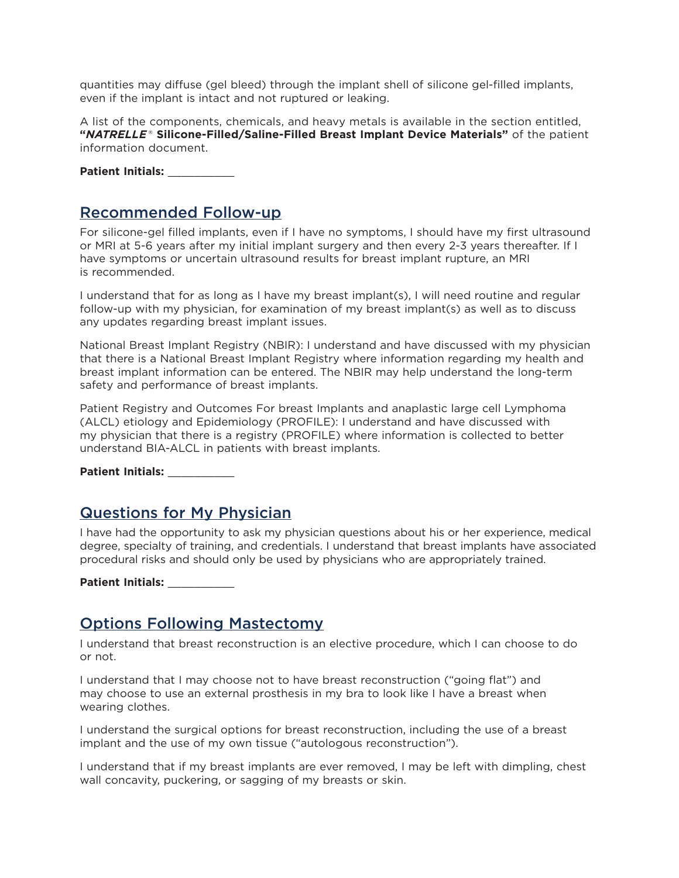quantities may diffuse (gel bleed) through the implant shell of silicone gel-filled implants, even if the implant is intact and not ruptured or leaking.

A list of the components, chemicals, and heavy metals is available in the section entitled, **"***NATRELLE*® **Silicone-Filled/Saline-Filled Breast Implant Device Materials"** of the patient information document.

**Patient Initials:** \_\_\_\_\_\_\_\_\_\_

## Recommended Follow-up

For silicone-gel filled implants, even if I have no symptoms, I should have my first ultrasound or MRI at 5-6 years after my initial implant surgery and then every 2-3 years thereafter. If I have symptoms or uncertain ultrasound results for breast implant rupture, an MRI is recommended.

I understand that for as long as I have my breast implant(s), I will need routine and regular follow-up with my physician, for examination of my breast implant(s) as well as to discuss any updates regarding breast implant issues.

National Breast Implant Registry (NBIR): I understand and have discussed with my physician that there is a National Breast Implant Registry where information regarding my health and breast implant information can be entered. The NBIR may help understand the long-term safety and performance of breast implants.

Patient Registry and Outcomes For breast Implants and anaplastic large cell Lymphoma (ALCL) etiology and Epidemiology (PROFILE): I understand and have discussed with my physician that there is a registry (PROFILE) where information is collected to better understand BIA-ALCL in patients with breast implants.

**Patient Initials:** \_\_\_\_\_\_\_\_\_\_

## Questions for My Physician

I have had the opportunity to ask my physician questions about his or her experience, medical degree, specialty of training, and credentials. I understand that breast implants have associated procedural risks and should only be used by physicians who are appropriately trained.

**Patient Initials:** \_\_\_\_\_\_\_\_\_\_

# Options Following Mastectomy

I understand that breast reconstruction is an elective procedure, which I can choose to do or not.

I understand that I may choose not to have breast reconstruction ("going flat") and may choose to use an external prosthesis in my bra to look like I have a breast when wearing clothes.

I understand the surgical options for breast reconstruction, including the use of a breast implant and the use of my own tissue ("autologous reconstruction").

I understand that if my breast implants are ever removed, I may be left with dimpling, chest wall concavity, puckering, or sagging of my breasts or skin.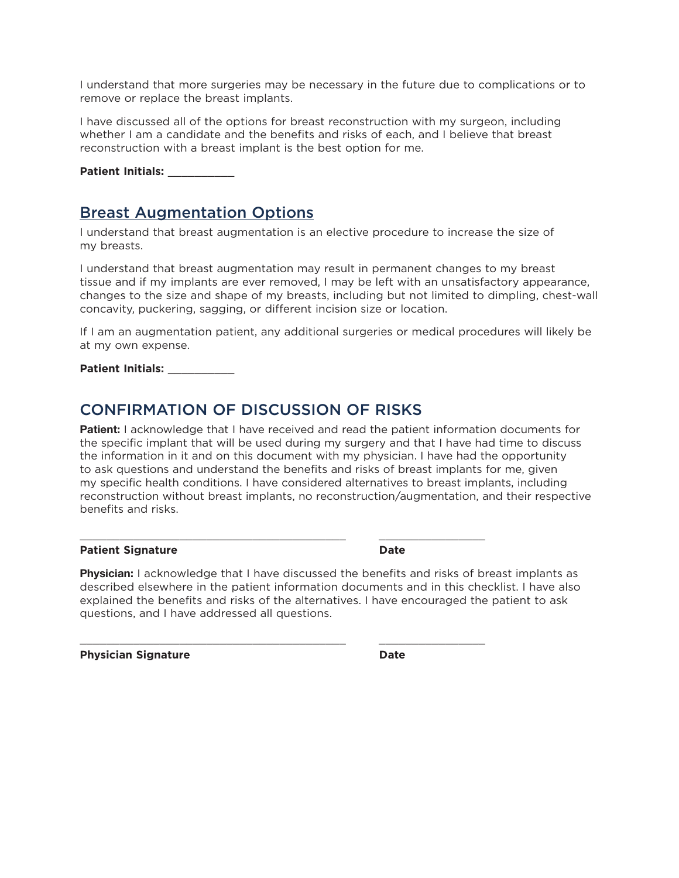I understand that more surgeries may be necessary in the future due to complications or to remove or replace the breast implants.

I have discussed all of the options for breast reconstruction with my surgeon, including whether I am a candidate and the benefits and risks of each, and I believe that breast reconstruction with a breast implant is the best option for me.

**Patient Initials:** \_\_\_\_\_\_\_\_\_\_

## Breast Augmentation Options

I understand that breast augmentation is an elective procedure to increase the size of my breasts.

I understand that breast augmentation may result in permanent changes to my breast tissue and if my implants are ever removed, I may be left with an unsatisfactory appearance, changes to the size and shape of my breasts, including but not limited to dimpling, chest-wall concavity, puckering, sagging, or different incision size or location.

If I am an augmentation patient, any additional surgeries or medical procedures will likely be at my own expense.

**Patient Initials:** \_\_\_\_\_\_\_\_\_\_

## CONFIRMATION OF DISCUSSION OF RISKS

\_\_\_\_\_\_\_\_\_\_\_\_\_\_\_\_\_\_\_\_\_\_\_\_\_\_\_\_\_\_\_\_\_\_\_\_\_\_\_\_ \_\_\_\_\_\_\_\_\_\_\_\_\_\_\_\_

 $\_$  , and the state of the state of the state of the state of the state of the state of the state of the state of the state of the state of the state of the state of the state of the state of the state of the state of the

**Patient:** I acknowledge that I have received and read the patient information documents for the specific implant that will be used during my surgery and that I have had time to discuss the information in it and on this document with my physician. I have had the opportunity to ask questions and understand the benefits and risks of breast implants for me, given my specific health conditions. I have considered alternatives to breast implants, including reconstruction without breast implants, no reconstruction/augmentation, and their respective benefits and risks.

#### **Patient Signature** *Date* **Date**

**Physician:** I acknowledge that I have discussed the benefits and risks of breast implants as described elsewhere in the patient information documents and in this checklist. I have also explained the benefits and risks of the alternatives. I have encouraged the patient to ask questions, and I have addressed all questions.

**Physician Signature Date**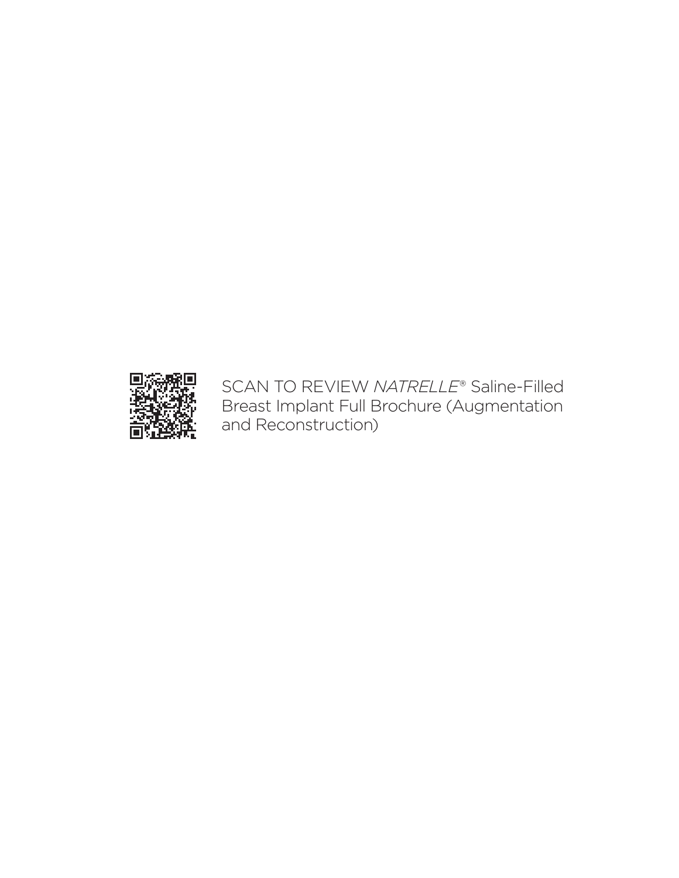

SCAN TO REVIEW *NATRELLE*® Saline-Filled Breast Implant Full Brochure (Augmentation and Reconstruction)